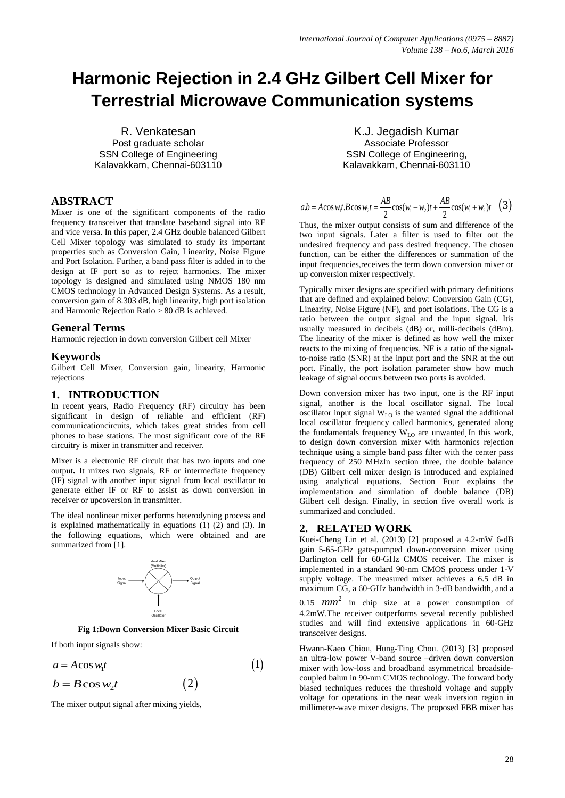# **Harmonic Rejection in 2.4 GHz Gilbert Cell Mixer for Terrestrial Microwave Communication systems**

R. Venkatesan Post graduate scholar SSN College of Engineering Kalavakkam, Chennai-603110

## **ABSTRACT**

Mixer is one of the significant components of the radio frequency transceiver that translate baseband signal into RF and vice versa. In this paper, 2.4 GHz double balanced Gilbert Cell Mixer topology was simulated to study its important properties such as Conversion Gain, Linearity, Noise Figure and Port Isolation. Further, a band pass filter is added in to the design at IF port so as to reject harmonics. The mixer topology is designed and simulated using NMOS 180 nm CMOS technology in Advanced Design Systems. As a result, conversion gain of 8.303 dB, high linearity, high port isolation and Harmonic Rejection Ratio > 80 dB is achieved*.*

### **General Terms**

Harmonic rejection in down conversion Gilbert cell Mixer

## **Keywords**

Gilbert Cell Mixer, Conversion gain, linearity, Harmonic rejections

# **1. INTRODUCTION**

In recent years, Radio Frequency (RF) circuitry has been significant in design of reliable and efficient (RF) communicationcircuits, which takes great strides from cell phones to base stations. The most significant core of the RF circuitry is mixer in transmitter and receiver.

Mixer is a electronic RF circuit that has two inputs and one output**.** It mixes two signals, RF or intermediate frequency (IF) signal with another input signal from local oscillator to generate either IF or RF to assist as down conversion in receiver or upcoversion in transmitter.

The ideal nonlinear mixer performs heterodyning process and is explained mathematically in equations (1) (2) and (3). In the following equations, which were obtained and are summarized from [1].



**Fig 1:Down Conversion Mixer Basic Circuit**

If both input signals show:

$$
a = A\cos w_1 t \tag{1}
$$

$$
b = B\cos w_2 t \tag{2}
$$

The mixer output signal after mixing yields,

K.J. Jegadish Kumar Associate Professor SSN College of Engineering, Kalavakkam, Chennai-603110

$$
ab = A\cos w_1t \cdot B\cos w_2t = \frac{AB}{2}\cos(w_1 - w_2)t + \frac{AB}{2}\cos(w_1 + w_2)t
$$
 (3)  
Thus, the mixer output consists of sum and difference of the

two input signals. Later a filter is used to filter out the undesired frequency and pass desired frequency. The chosen function, can be either the differences or summation of the input frequencies,receives the term down conversion mixer or up conversion mixer respectively.

Typically mixer designs are specified with primary definitions that are defined and explained below: Conversion Gain (CG), Linearity, Noise Figure (NF), and port isolations. The CG is a ratio between the output signal and the input signal. Itis usually measured in decibels (dB) or, milli-decibels (dBm). The linearity of the mixer is defined as how well the mixer reacts to the mixing of frequencies. NF is a ratio of the signalto-noise ratio (SNR) at the input port and the SNR at the out port. Finally, the port isolation parameter show how much leakage of signal occurs between two ports is avoided.

Down conversion mixer has two input, one is the RF input signal, another is the local oscillator signal. The local oscillator input signal WLO is the wanted signal the additional local oscillator frequency called harmonics, generated along the fundamentals frequency  $W<sub>LO</sub>$  are unwanted. In this work, to design down conversion mixer with harmonics rejection technique using a simple band pass filter with the center pass frequency of 250 MHzIn section three, the double balance (DB) Gilbert cell mixer design is introduced and explained using analytical equations. Section Four explains the implementation and simulation of double balance (DB) Gilbert cell design. Finally, in section five overall work is summarized and concluded.

# **2. RELATED WORK**

Kuei-Cheng Lin et al. (2013) [2] proposed a 4.2-mW 6-dB gain 5-65-GHz gate-pumped down-conversion mixer using Darlington cell for 60-GHz CMOS receiver. The mixer is implemented in a standard 90-nm CMOS process under 1-V supply voltage. The measured mixer achieves a 6.5 dB in maximum CG, a 60-GHz bandwidth in 3-dB bandwidth, and a

0.15  $mm^2$  in chip size at a power consumption of 4.2mW.The receiver outperforms several recently published studies and will find extensive applications in 60-GHz transceiver designs.

Hwann-Kaeo Chiou, Hung-Ting Chou. (2013) [3] proposed an ultra-low power V-band source –driven down conversion mixer with low-loss and broadband asymmetrical broadsidecoupled balun in 90-nm CMOS technology. The forward body biased techniques reduces the threshold voltage and supply voltage for operations in the near weak inversion region in millimeter-wave mixer designs. The proposed FBB mixer has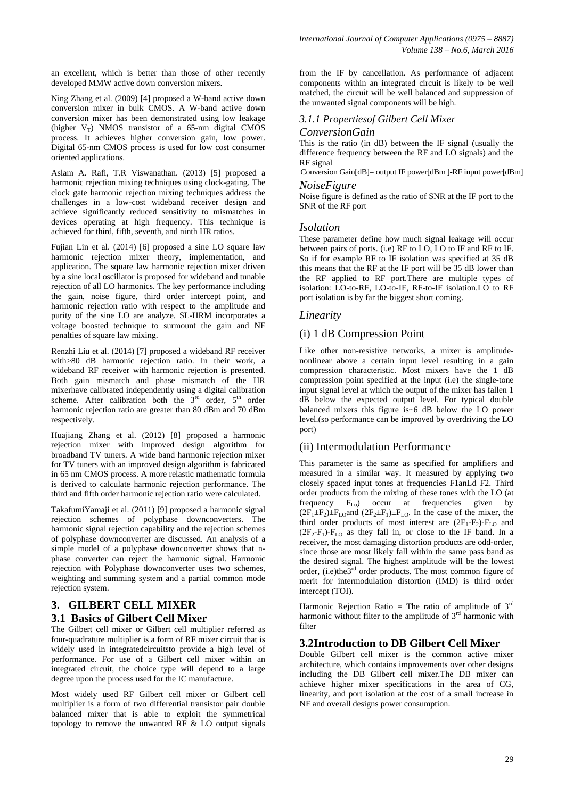an excellent, which is better than those of other recently developed MMW active down conversion mixers.

Ning Zhang et al. (2009) [4] proposed a W-band active down conversion mixer in bulk CMOS. A W-band active down conversion mixer has been demonstrated using low leakage (higher  $V_T$ ) NMOS transistor of a 65-nm digital CMOS process. It achieves higher conversion gain, low power. Digital 65-nm CMOS process is used for low cost consumer oriented applications.

Aslam A. Rafi, T.R Viswanathan. (2013) [5] proposed a harmonic rejection mixing techniques using clock-gating. The clock gate harmonic rejection mixing techniques address the challenges in a low-cost wideband receiver design and achieve significantly reduced sensitivity to mismatches in devices operating at high frequency. This technique is achieved for third, fifth, seventh, and ninth HR ratios.

Fujian Lin et al. (2014) [6] proposed a sine LO square law harmonic rejection mixer theory, implementation, and application. The square law harmonic rejection mixer driven by a sine local oscillator is proposed for wideband and tunable rejection of all LO harmonics. The key performance including the gain, noise figure, third order intercept point, and harmonic rejection ratio with respect to the amplitude and purity of the sine LO are analyze. SL-HRM incorporates a voltage boosted technique to surmount the gain and NF penalties of square law mixing.

Renzhi Liu et al. (2014) [7] proposed a wideband RF receiver with>80 dB harmonic rejection ratio. In their work, a wideband RF receiver with harmonic rejection is presented. Both gain mismatch and phase mismatch of the HR mixerhave calibrated independently using a digital calibration scheme. After calibration both the  $3<sup>rd</sup>$  order,  $5<sup>th</sup>$  order harmonic rejection ratio are greater than 80 dBm and 70 dBm respectively.

Huajiang Zhang et al. (2012) [8] proposed a harmonic rejection mixer with improved design algorithm for broadband TV tuners. A wide band harmonic rejection mixer for TV tuners with an improved design algorithm is fabricated in 65 nm CMOS process. A more relastic mathematic formula is derived to calculate harmonic rejection performance. The third and fifth order harmonic rejection ratio were calculated.

TakafumiYamaji et al. (2011) [9] proposed a harmonic signal rejection schemes of polyphase downconverters. The harmonic signal rejection capability and the rejection schemes of polyphase downconverter are discussed. An analysis of a simple model of a polyphase downconverter shows that nphase converter can reject the harmonic signal. Harmonic rejection with Polyphase downconverter uses two schemes, weighting and summing system and a partial common mode rejection system.

# **3. GILBERT CELL MIXER 3.1 Basics of Gilbert Cell Mixer**

The Gilbert cell mixer or Gilbert cell multiplier referred as four-quadrature multiplier is a form of RF mixer circuit that is widely used in integratedcircuitsto provide a high level of performance. For use of a Gilbert cell mixer within an integrated circuit, the choice type will depend to a large degree upon the process used for the IC manufacture.

Most widely used RF Gilbert cell mixer or Gilbert cell multiplier is a form of two differential transistor pair double balanced mixer that is able to exploit the symmetrical topology to remove the unwanted  $R\overline{F}$  & LO output signals

from the IF by cancellation. As performance of adjacent components within an integrated circuit is likely to be well matched, the circuit will be well balanced and suppression of the unwanted signal components will be high.

## *3.1.1 Propertiesof Gilbert Cell Mixer*

#### *ConversionGain*

This is the ratio (in dB) between the IF signal (usually the difference frequency between the RF and LO signals) and the RF signal

Conversion Gain[dB]= output IF power[dBm ]-RF input power[dBm]

# *NoiseFigure*

Noise figure is defined as the ratio of SNR at the IF port to the SNR of the RF port

### *Isolation*

These parameter define how much signal leakage will occur between pairs of ports. (i.e) RF to LO, LO to IF and RF to IF. So if for example RF to IF isolation was specified at 35 dB this means that the RF at the IF port will be 35 dB lower than the RF applied to RF port.There are multiple types of isolation: LO-to-RF, LO-to-IF, RF-to-IF isolation.LO to RF port isolation is by far the biggest short coming.

### *Linearity*

## (i) 1 dB Compression Point

Like other non-resistive networks, a mixer is amplitudenonlinear above a certain input level resulting in a gain compression characteristic. Most mixers have the  $1$  dB compression point specified at the input (i.e) the single-tone input signal level at which the output of the mixer has fallen 1 dB below the expected output level. For typical double balanced mixers this figure is~6 dB below the LO power level.(so performance can be improved by overdriving the LO port)

### (ii) Intermodulation Performance

This parameter is the same as specified for amplifiers and measured in a similar way. It measured by applying two closely spaced input tones at frequencies F1anLd F2. Third order products from the mixing of these tones with the LO (at frequency  $F_{L_0}$  occur at frequencies given by  $(2F_1 \pm F_2) \pm F_{LO}$  and  $(2F_2 \pm F_1) \pm F_{LO}$ . In the case of the mixer, the third order products of most interest are  $(2F_1-F_2)$ - $F_{LO}$  and  $(2F_2-F_1)$ -F<sub>LO</sub> as they fall in, or close to the IF band. In a receiver, the most damaging distortion products are odd-order, since those are most likely fall within the same pass band as the desired signal. The highest amplitude will be the lowest order, (i.e)the $3^{rd}$  order products. The most common figure of merit for intermodulation distortion (IMD) is third order intercept (TOI).

Harmonic Rejection Ratio = The ratio of amplitude of  $3<sup>rd</sup>$ harmonic without filter to the amplitude of  $3<sup>rd</sup>$  harmonic with filter

### **3.2Introduction to DB Gilbert Cell Mixer**

Double Gilbert cell mixer is the common active mixer architecture, which contains improvements over other designs including the DB Gilbert cell mixer.The DB mixer can achieve higher mixer specifications in the area of CG, linearity, and port isolation at the cost of a small increase in NF and overall designs power consumption.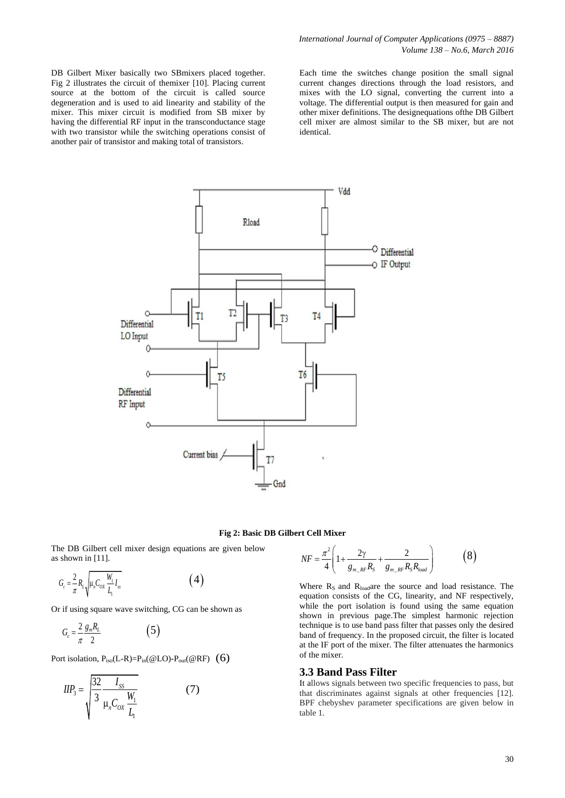DB Gilbert Mixer basically two SBmixers placed together. Fig 2 illustrates the circuit of themixer [10]. Placing current source at the bottom of the circuit is called source degeneration and is used to aid linearity and stability of the mixer. This mixer circuit is modified from SB mixer by having the differential RF input in the transconductance stage with two transistor while the switching operations consist of another pair of transistor and making total of transistors.

Each time the switches change position the small signal current changes directions through the load resistors, and mixes with the LO signal, converting the current into a voltage. The differential output is then measured for gain and other mixer definitions. The designequations ofthe DB Gilbert cell mixer are almost similar to the SB mixer, but are not identical.



#### **Fig 2: Basic DB Gilbert Cell Mixer**

The DB Gilbert cell mixer design equations are given below as shown in [11].

$$
G_c = \frac{2}{\pi} R_L \sqrt{\mu_n C_{ox} \frac{W_1}{L_1} I_{ss}} \tag{4}
$$

Or if using square wave switching, CG can be shown as

$$
G_c = \frac{2}{\pi} \frac{g_m R_L}{2} \tag{5}
$$

Port isolation,  $P_{iso}(L-R)=P_{in}(\omega LO)-P_{out}(\omega RF)$  (6)

$$
IIP_3 = \sqrt{\frac{32}{3} \frac{I_{SS}}{\mu_n C_{OX} \frac{W_1}{L_1}}}
$$
 (7)

$$
NF = \frac{\pi^2}{4} \left( 1 + \frac{2\gamma}{g_{m\_RF}R_S} + \frac{2}{g_{m\_RF}R_S R_{load}} \right)
$$
(8)

(4)<br>  $NF = \frac{\pi^2}{4}$ <br>
(4)<br>
Where R<br>
equation<br>
can be shown as<br>
while the<br>
shown in<br>
technique<br>
band of f<br>
at the IF<br>
(@RF) (6)<br>
5.3.3 Ban<br>
(7)<br>
Ta It allows<br>
that disc Where  $R_s$  and  $R_{load}$  are the source and load resistance. The equation consists of the CG, linearity, and NF respectively, while the port isolation is found using the same equation shown in previous page.The simplest harmonic rejection technique is to use band pass filter that passes only the desired band of frequency. In the proposed circuit, the filter is located at the IF port of the mixer. The filter attenuates the harmonics of the mixer.

#### **3.3 Band Pass Filter**

It allows signals between two specific frequencies to pass, but that discriminates against signals at other frequencies [12]. BPF chebyshev parameter specifications are given below in table 1.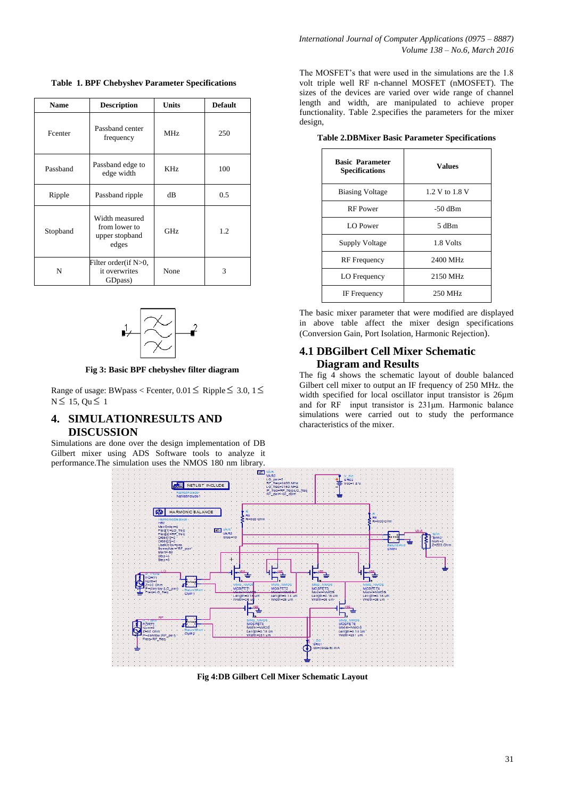**Table 1. BPF Chebyshev Parameter Specifications**

| <b>Name</b> | <b>Description</b>                                         | <b>Units</b> | <b>Default</b> |
|-------------|------------------------------------------------------------|--------------|----------------|
| Fcenter     | Passband center<br>frequency                               | <b>MHz</b>   | 250            |
| Passband    | Passband edge to<br>edge width                             | KHz          | 100            |
| Ripple      | Passband ripple                                            | dВ           | 0.5            |
| Stopband    | Width measured<br>from lower to<br>upper stopband<br>edges | GHz          | 1.2            |
| N           | Filter order(if N>0,<br>it overwrites<br>GDpass)           | None         | 3              |



**Fig 3: Basic BPF chebyshev filter diagram**

Range of usage: BWpass < Fcenter,  $0.01 \leq$  Ripple  $\leq$  3.0,  $1 \leq$  $N \leq 15$ ,  $Qu \leq 1$ 

# **4. SIMULATIONRESULTS AND DISCUSSION**

Simulations are done over the design implementation of DB Gilbert mixer using ADS Software tools to analyze it performance.The simulation uses the NMOS 180 nm library.

The MOSFET's that were used in the simulations are the 1.8 volt triple well RF n-channel MOSFET (nMOSFET). The sizes of the devices are varied over wide range of channel length and width, are manipulated to achieve proper functionality. Table 2.specifies the parameters for the mixer design,

**Table 2.DBMixer Basic Parameter Specifications**

| <b>Basic Parameter</b><br><b>Specifications</b> | <b>Values</b>  |  |
|-------------------------------------------------|----------------|--|
| <b>Biasing Voltage</b>                          | 1.2 V to 1.8 V |  |
| <b>RF</b> Power                                 | $-50$ dBm      |  |
| <b>LO</b> Power                                 | $5$ dBm        |  |
| Supply Voltage                                  | 1.8 Volts      |  |
| <b>RF</b> Frequency                             | 2400 MHz       |  |
| LO Frequency                                    | 2150 MHz       |  |
| IF Frequency                                    | 250 MHz        |  |

The basic mixer parameter that were modified are displayed in above table affect the mixer design specifications (Conversion Gain, Port Isolation, Harmonic Rejection).

# **4.1 DBGilbert Cell Mixer Schematic Diagram and Results**

The fig 4 shows the schematic layout of double balanced Gilbert cell mixer to output an IF frequency of 250 MHz. the width specified for local oscillator input transistor is 26µm and for RF input transistor is 231μm. Harmonic balance simulations were carried out to study the performance characteristics of the mixer.



**Fig 4:DB Gilbert Cell Mixer Schematic Layout**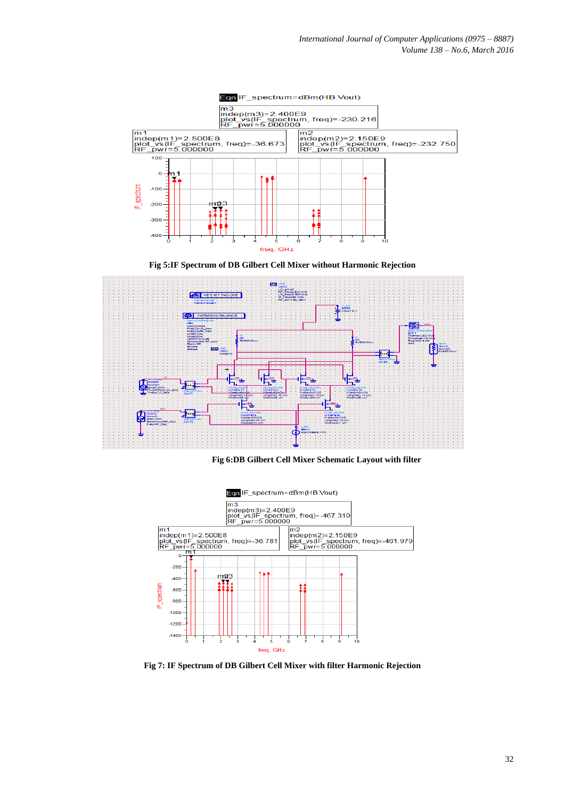

**Fig 5:IF Spectrum of DB Gilbert Cell Mixer without Harmonic Rejection** 







**Fig 7: IF Spectrum of DB Gilbert Cell Mixer with filter Harmonic Rejection**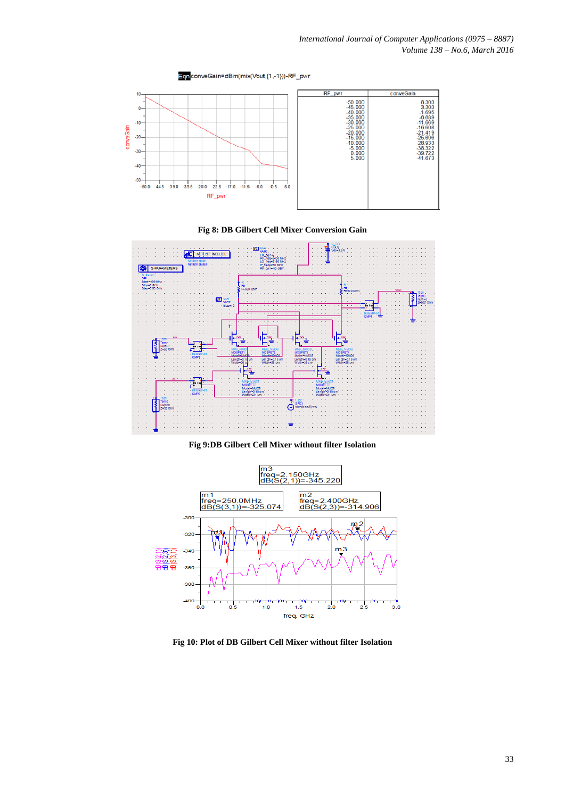

**Fig 8: DB Gilbert Cell Mixer Conversion Gain**



**Fig 9:DB Gilbert Cell Mixer without filter Isolation**



**Fig 10: Plot of DB Gilbert Cell Mixer without filter Isolation**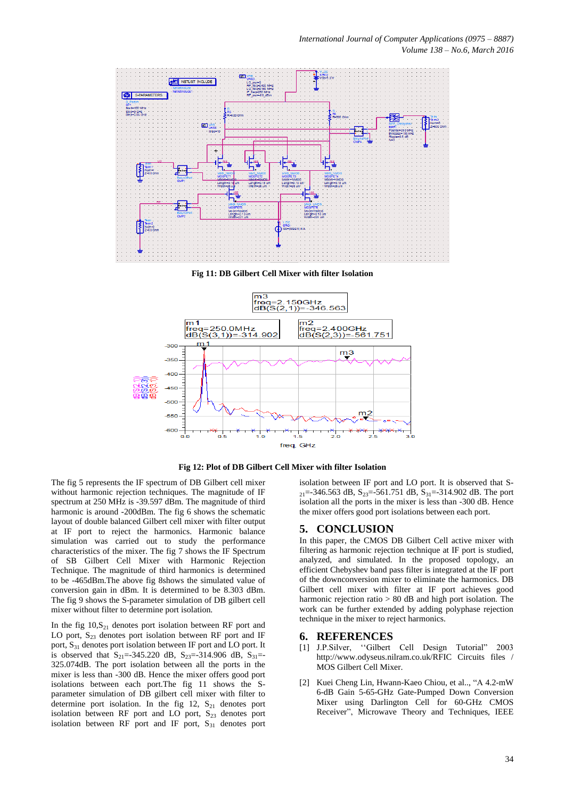

**Fig 11: DB Gilbert Cell Mixer with filter Isolation**

![](_page_6_Figure_3.jpeg)

**Fig 12: Plot of DB Gilbert Cell Mixer with filter Isolation**

The fig 5 represents the IF spectrum of DB Gilbert cell mixer without harmonic rejection techniques. The magnitude of IF spectrum at 250 MHz is -39.597 dBm. The magnitude of third harmonic is around -200dBm. The fig 6 shows the schematic layout of double balanced Gilbert cell mixer with filter output at IF port to reject the harmonics. Harmonic balance simulation was carried out to study the performance characteristics of the mixer. The fig 7 shows the IF Spectrum of SB Gilbert Cell Mixer with Harmonic Rejection Technique. The magnitude of third harmonics is determined to be -465dBm.The above fig 8shows the simulated value of conversion gain in dBm. It is determined to be 8.303 dBm. The fig 9 shows the S-parameter simulation of DB gilbert cell mixer without filter to determine port isolation.

In the fig  $10, S_{21}$  denotes port isolation between RF port and LO port,  $S_{23}$  denotes port isolation between RF port and IF port, S<sub>31</sub> denotes port isolation between IF port and LO port. It is observed that  $S_{21}=-345.220$  dB,  $S_{23}=-314.906$  dB,  $S_{31}=-$ 325.074dB. The port isolation between all the ports in the mixer is less than -300 dB. Hence the mixer offers good port isolations between each port.The fig 11 shows the Sparameter simulation of DB gilbert cell mixer with filter to determine port isolation. In the fig 12,  $S_{21}$  denotes port isolation between RF port and LO port,  $S_{23}$  denotes port isolation between RF port and IF port,  $S_{31}$  denotes port

isolation between IF port and LO port. It is observed that S- $_{21}$ =-346.563 dB, S<sub>23</sub>=-561.751 dB, S<sub>31</sub>=-314.902 dB. The port isolation all the ports in the mixer is less than -300 dB. Hence the mixer offers good port isolations between each port.

#### **5. CONCLUSION**

In this paper, the CMOS DB Gilbert Cell active mixer with filtering as harmonic rejection technique at IF port is studied, analyzed, and simulated. In the proposed topology, an efficient Chebyshev band pass filter is integrated at the IF port of the downconversion mixer to eliminate the harmonics. DB Gilbert cell mixer with filter at IF port achieves good harmonic rejection ratio > 80 dB and high port isolation. The work can be further extended by adding polyphase rejection technique in the mixer to reject harmonics.

#### **6. REFERENCES**

- [1] J.P.Silver, "Gilbert Cell Design Tutorial" 2003 http://www.odyseus.nilram.co.uk/RFIC Circuits files / MOS Gilbert Cell Mixer.
- [2] Kuei Cheng Lin, Hwann-Kaeo Chiou, et al.., "A 4.2-mW 6-dB Gain 5-65-GHz Gate-Pumped Down Conversion Mixer using Darlington Cell for 60-GHz CMOS Receiver", Microwave Theory and Techniques, IEEE